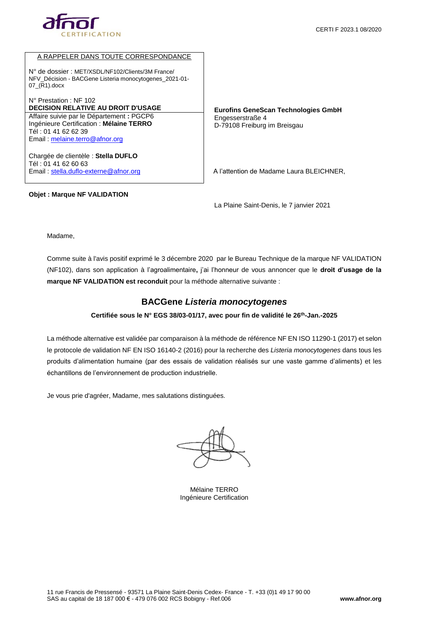



### A RAPPELER DANS TOUTE CORRESPONDANCE

N° de dossier : MET/XSDL/NF102/Clients/3M France/ NFV\_Décision - BACGene Listeria monocytogenes\_2021-01- 07\_(R1).docx

N° Prestation : NF 102 **DECISION RELATIVE AU DROIT D'USAGE EUROPE EUROPE EUROPE EUROPE EUROPE COMMETTE DE LA CONVEYTS DE LA CONVEYTS DE LA CONVEYTS DE LA CONVEYTS DE LA CONVEYTS DE LA CONVEYTS DE LA CONVEYTS DE LA CONVEYTS DE LA CONVEYTS DE LA C** Affaire suivie par le Département **:** PGCP6 Ingénieure Certification : **Mélaine TERRO** Tél : 01 41 62 62 39 Email : [melaine.terro@afnor.org](mailto:melaine.terro@afnor.org)

Chargée de clientèle : **Stella DUFLO** Tél : 01 41 62 60 63 Email : [stella.duflo-externe@afnor.org](mailto:stella.duflo-externe@afnor.org)

#### **Objet : Marque NF VALIDATION**

Engesserstraße 4 D-79108 Freiburg im Breisgau

A l'attention de Madame Laura BLEICHNER,

La Plaine Saint-Denis, le 7 janvier 2021

Madame,

Comme suite à l'avis positif exprimé le 3 décembre 2020 par le Bureau Technique de la marque NF VALIDATION (NF102), dans son application à l'agroalimentaire**,** j'ai l'honneur de vous annoncer que le **droit d'usage de la marque NF VALIDATION est reconduit** pour la méthode alternative suivante :

# **BACGene** *Listeria monocytogenes*

### **Certifiée sous le N° EGS 38/03-01/17, avec pour fin de validité le 26th-Jan.-2025**

La méthode alternative est validée par comparaison à la méthode de référence NF EN ISO 11290-1 (2017) et selon le protocole de validation NF EN ISO 16140-2 (2016) pour la recherche des *Listeria monocytogenes* dans tous les produits d'alimentation humaine (par des essais de validation réalisés sur une vaste gamme d'aliments) et les échantillons de l'environnement de production industrielle.

Je vous prie d'agréer, Madame, mes salutations distinguées.

Mélaine TERRO Ingénieure Certification